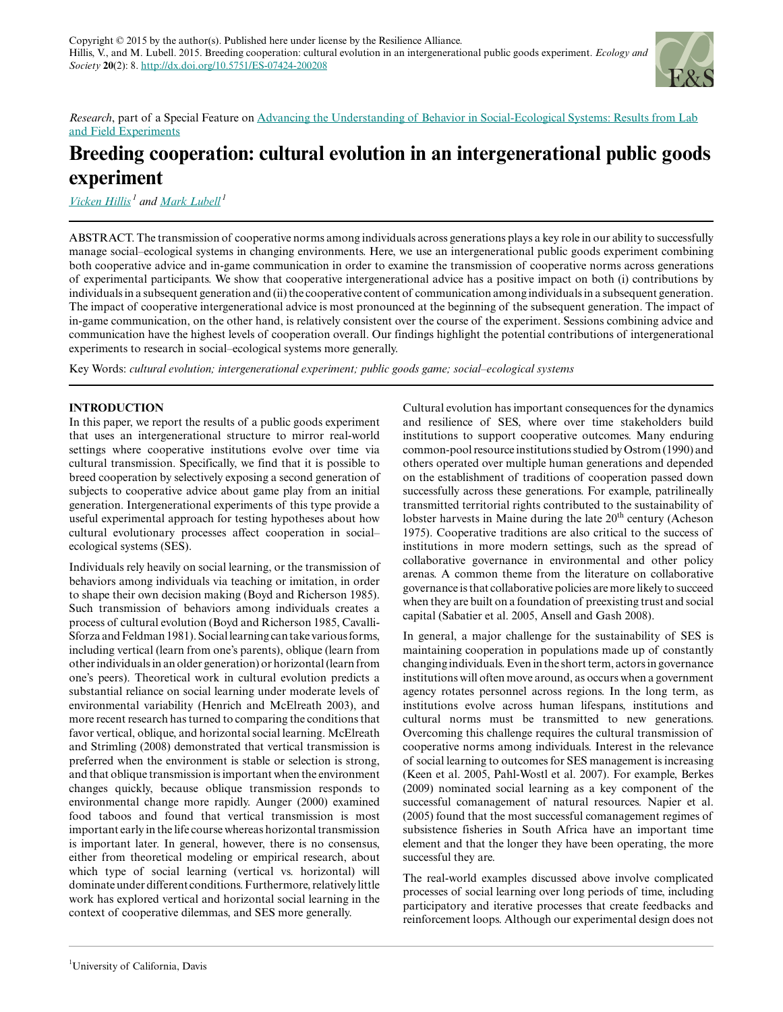

*Research*, part of a Special Feature on [Advancing the Understanding of Behavior in Social-Ecological Systems: Results from Lab](http://www.ecologyandsociety.org/viewissue.php?sf=102) [and Field Experiments](http://www.ecologyandsociety.org/viewissue.php?sf=102)

# **Breeding cooperation: cultural evolution in an intergenerational public goods experiment**

*[Vicken Hillis](mailto:avhillis@ucdavis.edu)<sup>1</sup> and [Mark Lubell](mailto:mnlubell@ucdavis.edu)<sup>1</sup>*

ABSTRACT. The transmission of cooperative norms among individuals across generations plays a key role in our ability to successfully manage social–ecological systems in changing environments. Here, we use an intergenerational public goods experiment combining both cooperative advice and in-game communication in order to examine the transmission of cooperative norms across generations of experimental participants. We show that cooperative intergenerational advice has a positive impact on both (i) contributions by individuals in a subsequent generation and (ii) the cooperative content of communication among individuals in a subsequent generation. The impact of cooperative intergenerational advice is most pronounced at the beginning of the subsequent generation. The impact of in-game communication, on the other hand, is relatively consistent over the course of the experiment. Sessions combining advice and communication have the highest levels of cooperation overall. Our findings highlight the potential contributions of intergenerational experiments to research in social–ecological systems more generally.

Key Words: *cultural evolution; intergenerational experiment; public goods game; social–ecological systems*

#### **INTRODUCTION**

In this paper, we report the results of a public goods experiment that uses an intergenerational structure to mirror real-world settings where cooperative institutions evolve over time via cultural transmission. Specifically, we find that it is possible to breed cooperation by selectively exposing a second generation of subjects to cooperative advice about game play from an initial generation. Intergenerational experiments of this type provide a useful experimental approach for testing hypotheses about how cultural evolutionary processes affect cooperation in social– ecological systems (SES).

Individuals rely heavily on social learning, or the transmission of behaviors among individuals via teaching or imitation, in order to shape their own decision making (Boyd and Richerson 1985). Such transmission of behaviors among individuals creates a process of cultural evolution (Boyd and Richerson 1985, Cavalli-Sforza and Feldman 1981). Social learning can take various forms, including vertical (learn from one's parents), oblique (learn from other individuals in an older generation) or horizontal (learn from one's peers). Theoretical work in cultural evolution predicts a substantial reliance on social learning under moderate levels of environmental variability (Henrich and McElreath 2003), and more recent research has turned to comparing the conditions that favor vertical, oblique, and horizontal social learning. McElreath and Strimling (2008) demonstrated that vertical transmission is preferred when the environment is stable or selection is strong, and that oblique transmission is important when the environment changes quickly, because oblique transmission responds to environmental change more rapidly. Aunger (2000) examined food taboos and found that vertical transmission is most important early in the life course whereas horizontal transmission is important later. In general, however, there is no consensus, either from theoretical modeling or empirical research, about which type of social learning (vertical vs. horizontal) will dominate under different conditions. Furthermore, relatively little work has explored vertical and horizontal social learning in the context of cooperative dilemmas, and SES more generally.

Cultural evolution has important consequences for the dynamics and resilience of SES, where over time stakeholders build institutions to support cooperative outcomes. Many enduring common-pool resource institutions studied by Ostrom (1990) and others operated over multiple human generations and depended on the establishment of traditions of cooperation passed down successfully across these generations. For example, patrilineally transmitted territorial rights contributed to the sustainability of lobster harvests in Maine during the late  $20<sup>th</sup>$  century (Acheson 1975). Cooperative traditions are also critical to the success of institutions in more modern settings, such as the spread of collaborative governance in environmental and other policy arenas. A common theme from the literature on collaborative governance is that collaborative policies are more likely to succeed when they are built on a foundation of preexisting trust and social capital (Sabatier et al. 2005, Ansell and Gash 2008).

In general, a major challenge for the sustainability of SES is maintaining cooperation in populations made up of constantly changing individuals. Even in the short term, actors in governance institutions will often move around, as occurs when a government agency rotates personnel across regions. In the long term, as institutions evolve across human lifespans, institutions and cultural norms must be transmitted to new generations. Overcoming this challenge requires the cultural transmission of cooperative norms among individuals. Interest in the relevance of social learning to outcomes for SES management is increasing (Keen et al. 2005, Pahl-Wostl et al. 2007). For example, Berkes (2009) nominated social learning as a key component of the successful comanagement of natural resources. Napier et al. (2005) found that the most successful comanagement regimes of subsistence fisheries in South Africa have an important time element and that the longer they have been operating, the more successful they are.

The real-world examples discussed above involve complicated processes of social learning over long periods of time, including participatory and iterative processes that create feedbacks and reinforcement loops. Although our experimental design does not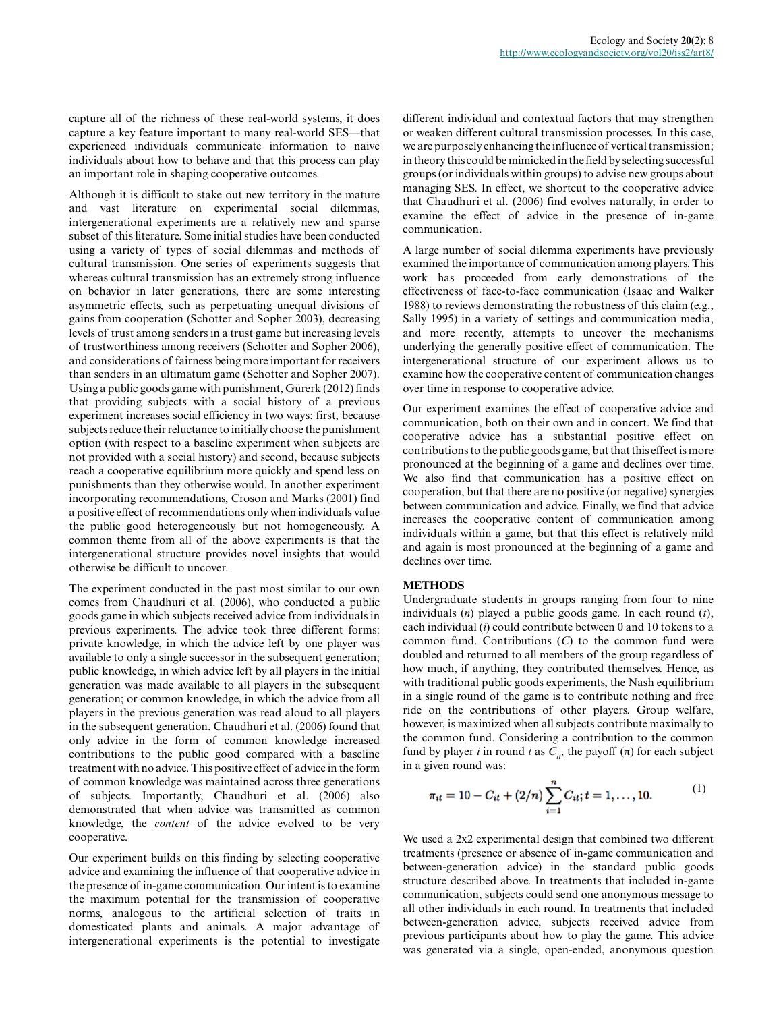capture all of the richness of these real-world systems, it does capture a key feature important to many real-world SES—that experienced individuals communicate information to naive individuals about how to behave and that this process can play an important role in shaping cooperative outcomes.

Although it is difficult to stake out new territory in the mature and vast literature on experimental social dilemmas, intergenerational experiments are a relatively new and sparse subset of this literature. Some initial studies have been conducted using a variety of types of social dilemmas and methods of cultural transmission. One series of experiments suggests that whereas cultural transmission has an extremely strong influence on behavior in later generations, there are some interesting asymmetric effects, such as perpetuating unequal divisions of gains from cooperation (Schotter and Sopher 2003), decreasing levels of trust among senders in a trust game but increasing levels of trustworthiness among receivers (Schotter and Sopher 2006), and considerations of fairness being more important for receivers than senders in an ultimatum game (Schotter and Sopher 2007). Using a public goods game with punishment, Gürerk (2012) finds that providing subjects with a social history of a previous experiment increases social efficiency in two ways: first, because subjects reduce their reluctance to initially choose the punishment option (with respect to a baseline experiment when subjects are not provided with a social history) and second, because subjects reach a cooperative equilibrium more quickly and spend less on punishments than they otherwise would. In another experiment incorporating recommendations, Croson and Marks (2001) find a positive effect of recommendations only when individuals value the public good heterogeneously but not homogeneously. A common theme from all of the above experiments is that the intergenerational structure provides novel insights that would otherwise be difficult to uncover.

The experiment conducted in the past most similar to our own comes from Chaudhuri et al. (2006), who conducted a public goods game in which subjects received advice from individuals in previous experiments. The advice took three different forms: private knowledge, in which the advice left by one player was available to only a single successor in the subsequent generation; public knowledge, in which advice left by all players in the initial generation was made available to all players in the subsequent generation; or common knowledge, in which the advice from all players in the previous generation was read aloud to all players in the subsequent generation. Chaudhuri et al. (2006) found that only advice in the form of common knowledge increased contributions to the public good compared with a baseline treatment with no advice. This positive effect of advice in the form of common knowledge was maintained across three generations of subjects. Importantly, Chaudhuri et al. (2006) also demonstrated that when advice was transmitted as common knowledge, the *content* of the advice evolved to be very cooperative.

Our experiment builds on this finding by selecting cooperative advice and examining the influence of that cooperative advice in the presence of in-game communication. Our intent is to examine the maximum potential for the transmission of cooperative norms, analogous to the artificial selection of traits in domesticated plants and animals. A major advantage of intergenerational experiments is the potential to investigate

different individual and contextual factors that may strengthen or weaken different cultural transmission processes. In this case, we are purposely enhancing the influence of vertical transmission; in theory this could be mimicked in the field by selecting successful groups (or individuals within groups) to advise new groups about managing SES. In effect, we shortcut to the cooperative advice that Chaudhuri et al. (2006) find evolves naturally, in order to examine the effect of advice in the presence of in-game communication.

A large number of social dilemma experiments have previously examined the importance of communication among players. This work has proceeded from early demonstrations of the effectiveness of face-to-face communication (Isaac and Walker 1988) to reviews demonstrating the robustness of this claim (e.g., Sally 1995) in a variety of settings and communication media, and more recently, attempts to uncover the mechanisms underlying the generally positive effect of communication. The intergenerational structure of our experiment allows us to examine how the cooperative content of communication changes over time in response to cooperative advice.

Our experiment examines the effect of cooperative advice and communication, both on their own and in concert. We find that cooperative advice has a substantial positive effect on contributions to the public goods game, but that this effect is more pronounced at the beginning of a game and declines over time. We also find that communication has a positive effect on cooperation, but that there are no positive (or negative) synergies between communication and advice. Finally, we find that advice increases the cooperative content of communication among individuals within a game, but that this effect is relatively mild and again is most pronounced at the beginning of a game and declines over time.

#### **METHODS**

Undergraduate students in groups ranging from four to nine individuals (*n*) played a public goods game. In each round (*t*), each individual (*i*) could contribute between 0 and 10 tokens to a common fund. Contributions (*C*) to the common fund were doubled and returned to all members of the group regardless of how much, if anything, they contributed themselves. Hence, as with traditional public goods experiments, the Nash equilibrium in a single round of the game is to contribute nothing and free ride on the contributions of other players. Group welfare, however, is maximized when all subjects contribute maximally to the common fund. Considering a contribution to the common fund by player *i* in round *t* as  $C_i$ , the payoff (π) for each subject in a given round was:

$$
\pi_{it} = 10 - C_{it} + (2/n) \sum_{i=1}^{n} C_{it}; t = 1, ..., 10.
$$
 (1)

We used a 2x2 experimental design that combined two different treatments (presence or absence of in-game communication and between-generation advice) in the standard public goods structure described above. In treatments that included in-game communication, subjects could send one anonymous message to all other individuals in each round. In treatments that included between-generation advice, subjects received advice from previous participants about how to play the game. This advice was generated via a single, open-ended, anonymous question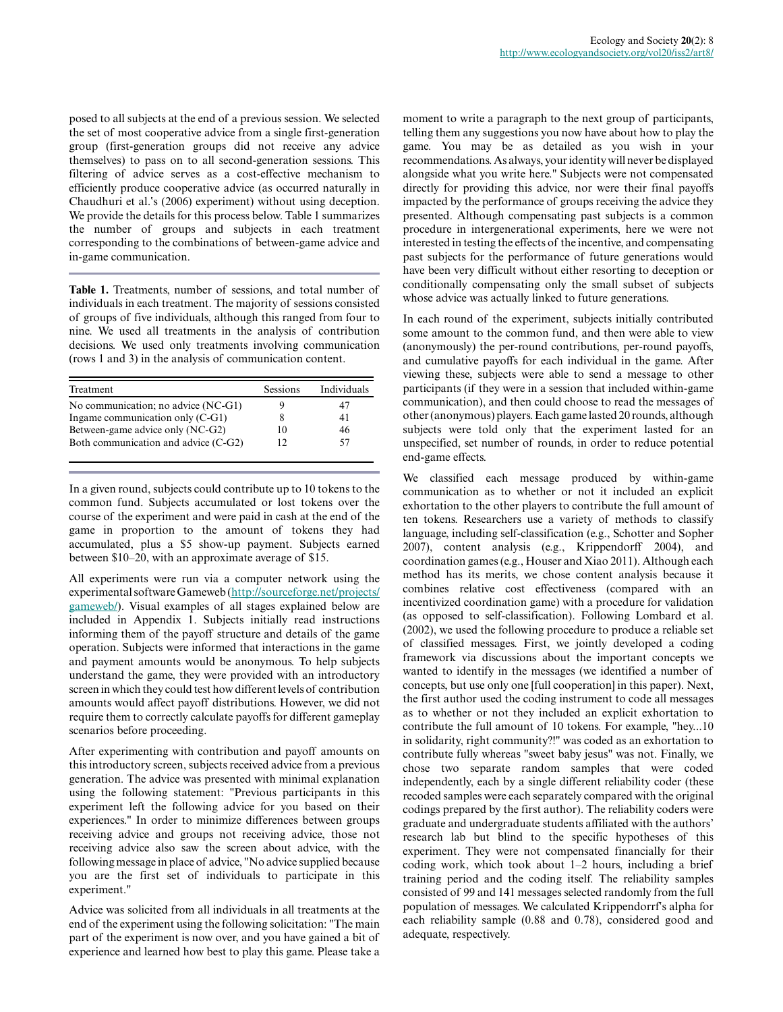posed to all subjects at the end of a previous session. We selected the set of most cooperative advice from a single first-generation group (first-generation groups did not receive any advice themselves) to pass on to all second-generation sessions. This filtering of advice serves as a cost-effective mechanism to efficiently produce cooperative advice (as occurred naturally in Chaudhuri et al.'s (2006) experiment) without using deception. We provide the details for this process below. Table 1 summarizes the number of groups and subjects in each treatment corresponding to the combinations of between-game advice and in-game communication.

**Table 1.** Treatments, number of sessions, and total number of individuals in each treatment. The majority of sessions consisted of groups of five individuals, although this ranged from four to nine. We used all treatments in the analysis of contribution decisions. We used only treatments involving communication (rows 1 and 3) in the analysis of communication content.

| Treatment                            | Sessions | Individuals |
|--------------------------------------|----------|-------------|
| No communication; no advice (NC-G1)  |          | 47          |
| Ingame communication only (C-G1)     |          | 41          |
| Between-game advice only (NC-G2)     | 10       | 46          |
| Both communication and advice (C-G2) | 12       | 57          |

In a given round, subjects could contribute up to 10 tokens to the common fund. Subjects accumulated or lost tokens over the course of the experiment and were paid in cash at the end of the game in proportion to the amount of tokens they had accumulated, plus a \$5 show-up payment. Subjects earned between \$10–20, with an approximate average of \$15.

All experiments were run via a computer network using the experimental software Gameweb ([http://sourceforge.net/projects/](http://sourceforge.net/projects/gameweb/) [gameweb/\)](http://sourceforge.net/projects/gameweb/). Visual examples of all stages explained below are included in Appendix 1. Subjects initially read instructions informing them of the payoff structure and details of the game operation. Subjects were informed that interactions in the game and payment amounts would be anonymous. To help subjects understand the game, they were provided with an introductory screen in which they could test how different levels of contribution amounts would affect payoff distributions. However, we did not require them to correctly calculate payoffs for different gameplay scenarios before proceeding.

After experimenting with contribution and payoff amounts on this introductory screen, subjects received advice from a previous generation. The advice was presented with minimal explanation using the following statement: "Previous participants in this experiment left the following advice for you based on their experiences." In order to minimize differences between groups receiving advice and groups not receiving advice, those not receiving advice also saw the screen about advice, with the following message in place of advice, "No advice supplied because you are the first set of individuals to participate in this experiment."

Advice was solicited from all individuals in all treatments at the end of the experiment using the following solicitation: "The main part of the experiment is now over, and you have gained a bit of experience and learned how best to play this game. Please take a

moment to write a paragraph to the next group of participants, telling them any suggestions you now have about how to play the game. You may be as detailed as you wish in your recommendations. As always, your identity will never be displayed alongside what you write here." Subjects were not compensated directly for providing this advice, nor were their final payoffs impacted by the performance of groups receiving the advice they presented. Although compensating past subjects is a common procedure in intergenerational experiments, here we were not interested in testing the effects of the incentive, and compensating past subjects for the performance of future generations would have been very difficult without either resorting to deception or conditionally compensating only the small subset of subjects whose advice was actually linked to future generations.

In each round of the experiment, subjects initially contributed some amount to the common fund, and then were able to view (anonymously) the per-round contributions, per-round payoffs, and cumulative payoffs for each individual in the game. After viewing these, subjects were able to send a message to other participants (if they were in a session that included within-game communication), and then could choose to read the messages of other (anonymous) players. Each game lasted 20 rounds, although subjects were told only that the experiment lasted for an unspecified, set number of rounds, in order to reduce potential end-game effects.

We classified each message produced by within-game communication as to whether or not it included an explicit exhortation to the other players to contribute the full amount of ten tokens. Researchers use a variety of methods to classify language, including self-classification (e.g., Schotter and Sopher 2007), content analysis (e.g., Krippendorff 2004), and coordination games (e.g., Houser and Xiao 2011). Although each method has its merits, we chose content analysis because it combines relative cost effectiveness (compared with an incentivized coordination game) with a procedure for validation (as opposed to self-classification). Following Lombard et al. (2002), we used the following procedure to produce a reliable set of classified messages. First, we jointly developed a coding framework via discussions about the important concepts we wanted to identify in the messages (we identified a number of concepts, but use only one [full cooperation] in this paper). Next, the first author used the coding instrument to code all messages as to whether or not they included an explicit exhortation to contribute the full amount of 10 tokens. For example, "hey...10 in solidarity, right community?!" was coded as an exhortation to contribute fully whereas "sweet baby jesus" was not. Finally, we chose two separate random samples that were coded independently, each by a single different reliability coder (these recoded samples were each separately compared with the original codings prepared by the first author). The reliability coders were graduate and undergraduate students affiliated with the authors' research lab but blind to the specific hypotheses of this experiment. They were not compensated financially for their coding work, which took about 1–2 hours, including a brief training period and the coding itself. The reliability samples consisted of 99 and 141 messages selected randomly from the full population of messages. We calculated Krippendorrf's alpha for each reliability sample (0.88 and 0.78), considered good and adequate, respectively.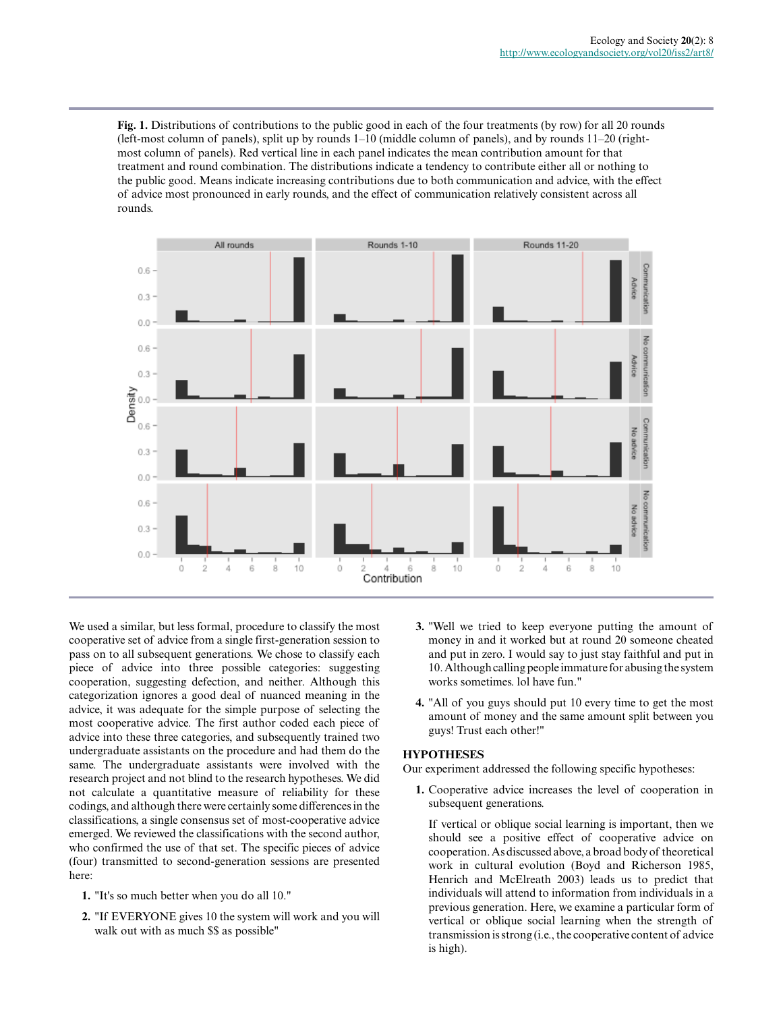**Fig. 1.** Distributions of contributions to the public good in each of the four treatments (by row) for all 20 rounds (left-most column of panels), split up by rounds 1–10 (middle column of panels), and by rounds 11–20 (rightmost column of panels). Red vertical line in each panel indicates the mean contribution amount for that treatment and round combination. The distributions indicate a tendency to contribute either all or nothing to the public good. Means indicate increasing contributions due to both communication and advice, with the effect of advice most pronounced in early rounds, and the effect of communication relatively consistent across all rounds.



We used a similar, but less formal, procedure to classify the most cooperative set of advice from a single first-generation session to pass on to all subsequent generations. We chose to classify each piece of advice into three possible categories: suggesting cooperation, suggesting defection, and neither. Although this categorization ignores a good deal of nuanced meaning in the advice, it was adequate for the simple purpose of selecting the most cooperative advice. The first author coded each piece of advice into these three categories, and subsequently trained two undergraduate assistants on the procedure and had them do the same. The undergraduate assistants were involved with the research project and not blind to the research hypotheses. We did not calculate a quantitative measure of reliability for these codings, and although there were certainly some differences in the classifications, a single consensus set of most-cooperative advice emerged. We reviewed the classifications with the second author, who confirmed the use of that set. The specific pieces of advice (four) transmitted to second-generation sessions are presented here:

- **1.** "It's so much better when you do all 10."
- **2.** "If EVERYONE gives 10 the system will work and you will walk out with as much \$\$ as possible"
- **3.** "Well we tried to keep everyone putting the amount of money in and it worked but at round 20 someone cheated and put in zero. I would say to just stay faithful and put in 10. Although calling people immature for abusing the system works sometimes. lol have fun."
- **4.** "All of you guys should put 10 every time to get the most amount of money and the same amount split between you guys! Trust each other!"

#### **HYPOTHESES**

Our experiment addressed the following specific hypotheses:

**1.** Cooperative advice increases the level of cooperation in subsequent generations.

If vertical or oblique social learning is important, then we should see a positive effect of cooperative advice on cooperation. As discussed above, a broad body of theoretical work in cultural evolution (Boyd and Richerson 1985, Henrich and McElreath 2003) leads us to predict that individuals will attend to information from individuals in a previous generation. Here, we examine a particular form of vertical or oblique social learning when the strength of transmission is strong (i.e., the cooperative content of advice is high).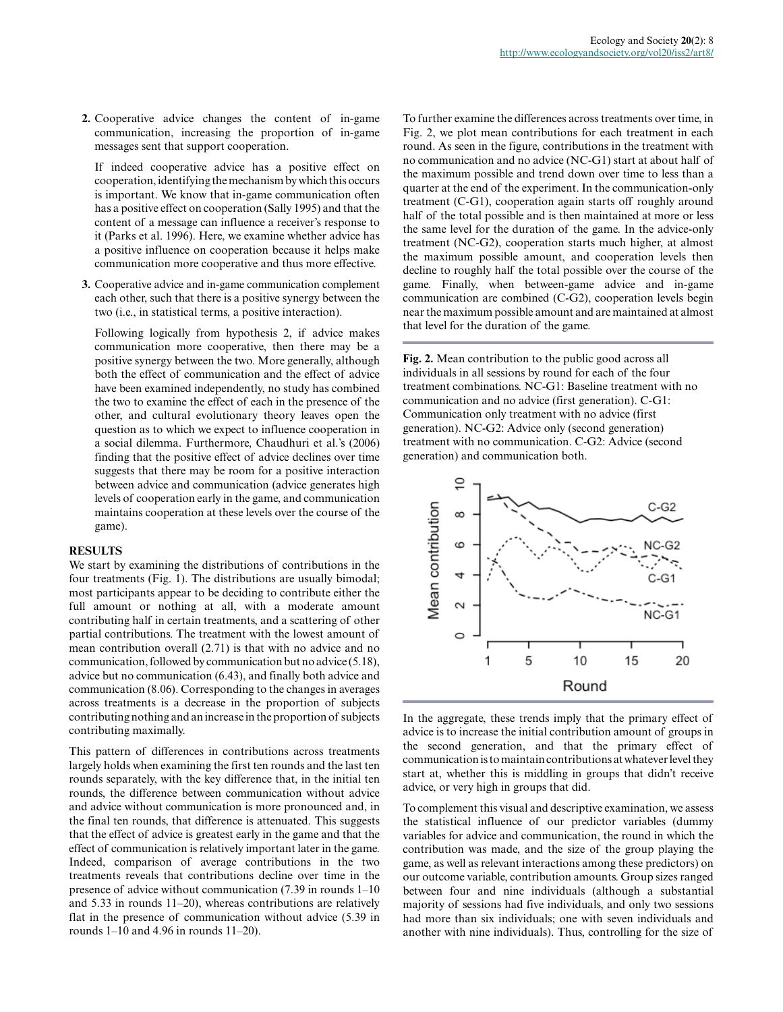**2.** Cooperative advice changes the content of in-game communication, increasing the proportion of in-game messages sent that support cooperation.

If indeed cooperative advice has a positive effect on cooperation, identifying the mechanism by which this occurs is important. We know that in-game communication often has a positive effect on cooperation (Sally 1995) and that the content of a message can influence a receiver's response to it (Parks et al. 1996). Here, we examine whether advice has a positive influence on cooperation because it helps make communication more cooperative and thus more effective.

**3.** Cooperative advice and in-game communication complement each other, such that there is a positive synergy between the two (i.e., in statistical terms, a positive interaction).

Following logically from hypothesis 2, if advice makes communication more cooperative, then there may be a positive synergy between the two. More generally, although both the effect of communication and the effect of advice have been examined independently, no study has combined the two to examine the effect of each in the presence of the other, and cultural evolutionary theory leaves open the question as to which we expect to influence cooperation in a social dilemma. Furthermore, Chaudhuri et al.'s (2006) finding that the positive effect of advice declines over time suggests that there may be room for a positive interaction between advice and communication (advice generates high levels of cooperation early in the game, and communication maintains cooperation at these levels over the course of the game).

#### **RESULTS**

We start by examining the distributions of contributions in the four treatments (Fig. 1). The distributions are usually bimodal; most participants appear to be deciding to contribute either the full amount or nothing at all, with a moderate amount contributing half in certain treatments, and a scattering of other partial contributions. The treatment with the lowest amount of mean contribution overall (2.71) is that with no advice and no communication, followed by communication but no advice (5.18), advice but no communication (6.43), and finally both advice and communication (8.06). Corresponding to the changes in averages across treatments is a decrease in the proportion of subjects contributing nothing and an increase in the proportion of subjects contributing maximally.

This pattern of differences in contributions across treatments largely holds when examining the first ten rounds and the last ten rounds separately, with the key difference that, in the initial ten rounds, the difference between communication without advice and advice without communication is more pronounced and, in the final ten rounds, that difference is attenuated. This suggests that the effect of advice is greatest early in the game and that the effect of communication is relatively important later in the game. Indeed, comparison of average contributions in the two treatments reveals that contributions decline over time in the presence of advice without communication (7.39 in rounds 1–10 and 5.33 in rounds 11–20), whereas contributions are relatively flat in the presence of communication without advice (5.39 in rounds 1–10 and 4.96 in rounds 11–20).

To further examine the differences across treatments over time, in Fig. 2, we plot mean contributions for each treatment in each round. As seen in the figure, contributions in the treatment with no communication and no advice (NC-G1) start at about half of the maximum possible and trend down over time to less than a quarter at the end of the experiment. In the communication-only treatment (C-G1), cooperation again starts off roughly around half of the total possible and is then maintained at more or less the same level for the duration of the game. In the advice-only treatment (NC-G2), cooperation starts much higher, at almost the maximum possible amount, and cooperation levels then decline to roughly half the total possible over the course of the game. Finally, when between-game advice and in-game communication are combined (C-G2), cooperation levels begin near the maximum possible amount and are maintained at almost that level for the duration of the game.

**Fig. 2.** Mean contribution to the public good across all individuals in all sessions by round for each of the four treatment combinations. NC-G1: Baseline treatment with no communication and no advice (first generation). C-G1: Communication only treatment with no advice (first generation). NC-G2: Advice only (second generation) treatment with no communication. C-G2: Advice (second generation) and communication both.



In the aggregate, these trends imply that the primary effect of advice is to increase the initial contribution amount of groups in the second generation, and that the primary effect of communication is to maintain contributions at whatever level they start at, whether this is middling in groups that didn't receive advice, or very high in groups that did.

To complement this visual and descriptive examination, we assess the statistical influence of our predictor variables (dummy variables for advice and communication, the round in which the contribution was made, and the size of the group playing the game, as well as relevant interactions among these predictors) on our outcome variable, contribution amounts. Group sizes ranged between four and nine individuals (although a substantial majority of sessions had five individuals, and only two sessions had more than six individuals; one with seven individuals and another with nine individuals). Thus, controlling for the size of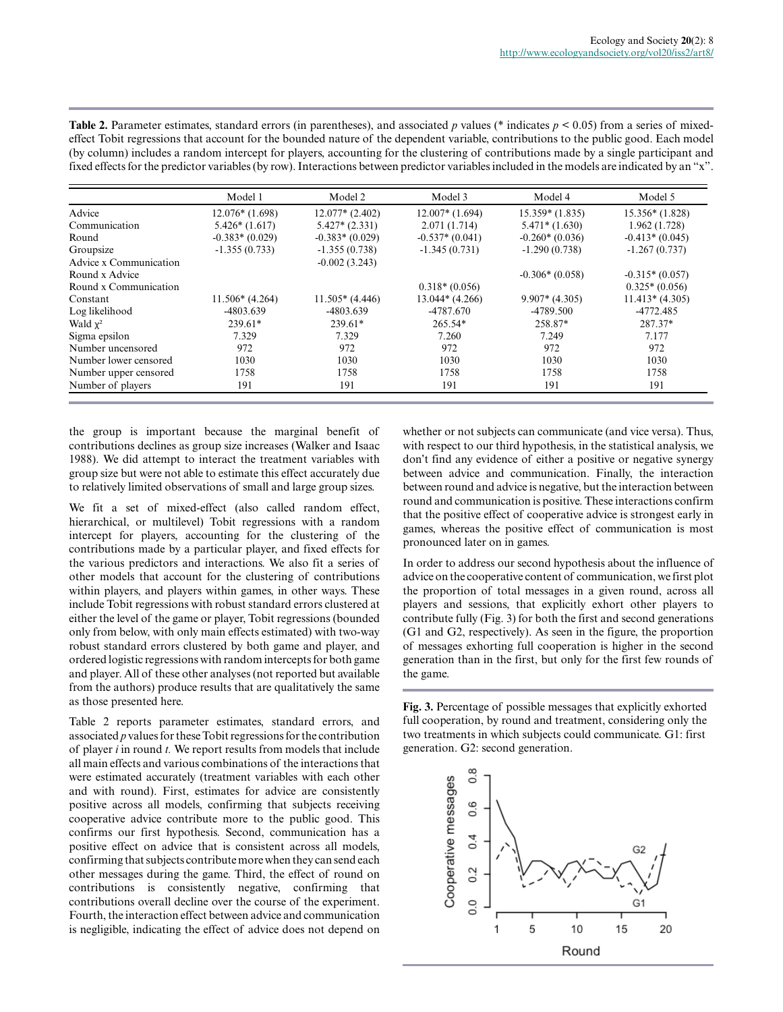| Table 2. Parameter estimates, standard errors (in parentheses), and associated p values (* indicates $p < 0.05$ ) from a series of mixed-    |
|----------------------------------------------------------------------------------------------------------------------------------------------|
| effect Tobit regressions that account for the bounded nature of the dependent variable, contributions to the public good. Each model         |
| (by column) includes a random intercept for players, accounting for the clustering of contributions made by a single participant and         |
| fixed effects for the predictor variables (by row). Interactions between predictor variables included in the models are indicated by an "x". |

|                        | Model 1          | Model 2          | Model 3          | Model 4          | Model 5          |
|------------------------|------------------|------------------|------------------|------------------|------------------|
| Advice                 | $12.076*(1.698)$ | $12.077*(2.402)$ | $12.007*(1.694)$ | $15.359*(1.835)$ | $15.356*(1.828)$ |
| Communication          | $5.426*(1.617)$  | $5.427*(2.331)$  | 2.071(1.714)     | $5.471*(1.630)$  | 1.962(1.728)     |
| Round                  | $-0.383*(0.029)$ | $-0.383*(0.029)$ | $-0.537*(0.041)$ | $-0.260*(0.036)$ | $-0.413*(0.045)$ |
| Groupsize              | $-1.355(0.733)$  | $-1.355(0.738)$  | $-1.345(0.731)$  | $-1.290(0.738)$  | $-1.267(0.737)$  |
| Advice x Communication |                  | $-0.002(3.243)$  |                  |                  |                  |
| Round x Advice         |                  |                  |                  | $-0.306*(0.058)$ | $-0.315*(0.057)$ |
| Round x Communication  |                  |                  | $0.318*(0.056)$  |                  | $0.325*(0.056)$  |
| Constant               | $11.506*(4.264)$ | $11.505*(4.446)$ | 13.044* (4.266)  | $9.907*(4.305)$  | $11.413*(4.305)$ |
| Log likelihood         | -4803.639        | -4803.639        | -4787.670        | $-4789.500$      | $-4772.485$      |
| Wald $x^2$             | $239.61*$        | $239.61*$        | $265.54*$        | 258.87*          | 287.37*          |
| Sigma epsilon          | 7.329            | 7.329            | 7.260            | 7.249            | 7.177            |
| Number uncensored      | 972              | 972              | 972              | 972              | 972              |
| Number lower censored  | 1030             | 1030             | 1030             | 1030             | 1030             |
| Number upper censored  | 1758             | 1758             | 1758             | 1758             | 1758             |
| Number of players      | 191              | 191              | 191              | 191              | 191              |

the group is important because the marginal benefit of contributions declines as group size increases (Walker and Isaac 1988). We did attempt to interact the treatment variables with group size but were not able to estimate this effect accurately due to relatively limited observations of small and large group sizes.

We fit a set of mixed-effect (also called random effect, hierarchical, or multilevel) Tobit regressions with a random intercept for players, accounting for the clustering of the contributions made by a particular player, and fixed effects for the various predictors and interactions. We also fit a series of other models that account for the clustering of contributions within players, and players within games, in other ways. These include Tobit regressions with robust standard errors clustered at either the level of the game or player, Tobit regressions (bounded only from below, with only main effects estimated) with two-way robust standard errors clustered by both game and player, and ordered logistic regressions with random intercepts for both game and player. All of these other analyses (not reported but available from the authors) produce results that are qualitatively the same as those presented here.

Table 2 reports parameter estimates, standard errors, and associated *p* values for these Tobit regressions for the contribution of player *i* in round *t.* We report results from models that include all main effects and various combinations of the interactions that were estimated accurately (treatment variables with each other and with round). First, estimates for advice are consistently positive across all models, confirming that subjects receiving cooperative advice contribute more to the public good. This confirms our first hypothesis. Second, communication has a positive effect on advice that is consistent across all models, confirming that subjects contribute more when they can send each other messages during the game. Third, the effect of round on contributions is consistently negative, confirming that contributions overall decline over the course of the experiment. Fourth, the interaction effect between advice and communication is negligible, indicating the effect of advice does not depend on

whether or not subjects can communicate (and vice versa). Thus, with respect to our third hypothesis, in the statistical analysis, we don't find any evidence of either a positive or negative synergy between advice and communication. Finally, the interaction between round and advice is negative, but the interaction between round and communication is positive. These interactions confirm that the positive effect of cooperative advice is strongest early in games, whereas the positive effect of communication is most pronounced later on in games.

In order to address our second hypothesis about the influence of advice on the cooperative content of communication, we first plot the proportion of total messages in a given round, across all players and sessions, that explicitly exhort other players to contribute fully (Fig. 3) for both the first and second generations (G1 and G2, respectively). As seen in the figure, the proportion of messages exhorting full cooperation is higher in the second generation than in the first, but only for the first few rounds of the game.

**Fig. 3.** Percentage of possible messages that explicitly exhorted full cooperation, by round and treatment, considering only the two treatments in which subjects could communicate. G1: first generation. G2: second generation.

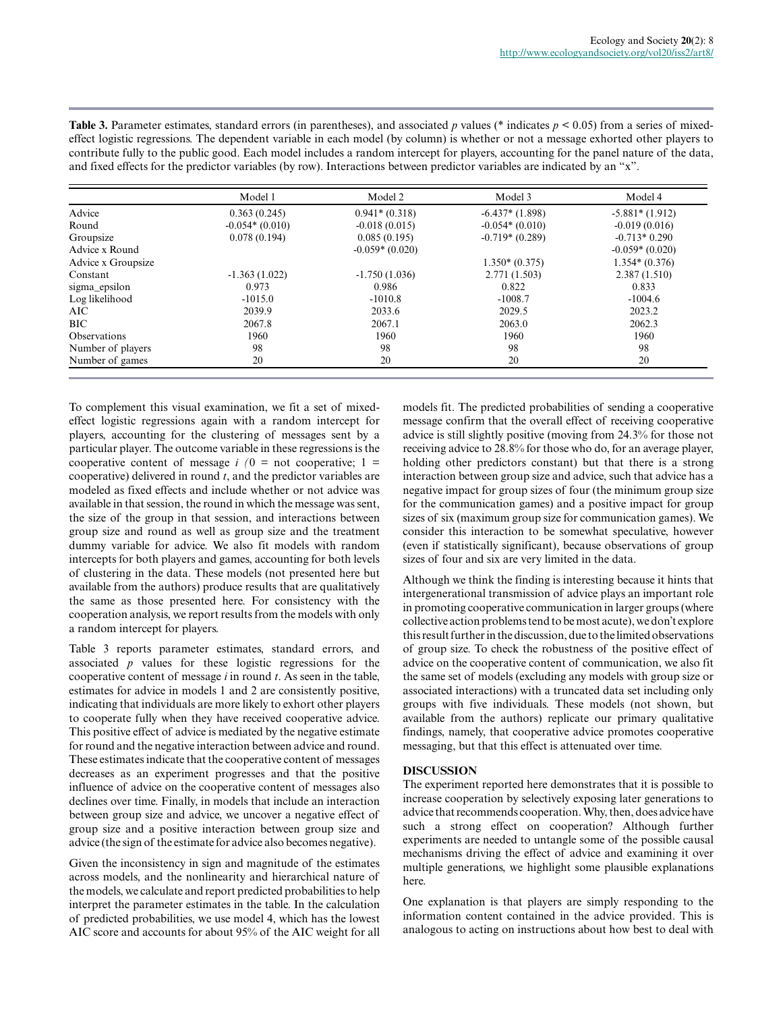| contribute fully to the public good. Each model includes a random intercept for players, accounting for the panel nature of the data,<br>and fixed effects for the predictor variables (by row). Interactions between predictor variables are indicated by an "x". |                  |                  |                  |                  |
|--------------------------------------------------------------------------------------------------------------------------------------------------------------------------------------------------------------------------------------------------------------------|------------------|------------------|------------------|------------------|
|                                                                                                                                                                                                                                                                    | Model 1          | Model 2          | Model 3          | Model 4          |
| Advice                                                                                                                                                                                                                                                             | 0.363(0.245)     | $0.941*(0.318)$  | $-6.437*(1.898)$ | $-5.881*(1.912)$ |
| Round                                                                                                                                                                                                                                                              | $-0.054*(0.010)$ | $-0.018(0.015)$  | $-0.054*(0.010)$ | $-0.019(0.016)$  |
| Groupsize                                                                                                                                                                                                                                                          | 0.078(0.194)     | 0.085(0.195)     | $-0.719*(0.289)$ | $-0.713*0.290$   |
| Advice x Round                                                                                                                                                                                                                                                     |                  | $-0.059*(0.020)$ |                  | $-0.059*(0.020)$ |

Advice x Groupsize 1.350\* (0.375) 1.354\* (0.376)<br>Constant 1.350\* (1.022) 1.354\* (0.376) 1.354\* (0.376) 1.354\* (0.376) Constant -1.363 (1.022) -1.750 (1.036) 2.771 (1.503) 2.387 (1.510) sigma\_epsilon 0.973 0.986 0.822 0.833 Log likelihood -1015.0 -1010.8 -1008.7 -1004.6<br>AIC 2029.9 2039.9 -2033.6 2029.5 2023.2 AIC 2039.9 2033.6 2029.5 2023.2 BIC 2067.8 2067.8 2067.1 2063.0 2063.0 2063.2 Observations 1960 1960 1960 1960 Number of players 98 98 98 98 98 98 98 98 98 98 98 98 1 98 1 98 1 98 1 98 1 98 1 98 1 98 1 98 1 98 1 98 1 98 1 98 1 98 1 98 1 98 1 98 1 98 1 98 1 98 1 98 1 98 1 98 1 98 1 98 1 98 1 98 1 98 1 98 1 98 1 98 1 98 1 98 1 98 1 9 Number of games 20 20 20 20 20 20

**Table 3.** Parameter estimates, standard errors (in parentheses), and associated *p* values (\* indicates  $p < 0.05$ ) from a series of mixedeffect logistic regressions. The dependent variable in each model (by column) is whether or not a message exhorted other players to

To complement this visual examination, we fit a set of mixedeffect logistic regressions again with a random intercept for players, accounting for the clustering of messages sent by a particular player. The outcome variable in these regressions is the cooperative content of message  $i$  ( $0 =$  not cooperative;  $1 =$ cooperative) delivered in round *t*, and the predictor variables are modeled as fixed effects and include whether or not advice was available in that session, the round in which the message was sent, the size of the group in that session, and interactions between group size and round as well as group size and the treatment dummy variable for advice. We also fit models with random intercepts for both players and games, accounting for both levels of clustering in the data. These models (not presented here but available from the authors) produce results that are qualitatively the same as those presented here. For consistency with the cooperation analysis, we report results from the models with only a random intercept for players.

Table 3 reports parameter estimates, standard errors, and associated *p* values for these logistic regressions for the cooperative content of message *i* in round *t*. As seen in the table, estimates for advice in models 1 and 2 are consistently positive, indicating that individuals are more likely to exhort other players to cooperate fully when they have received cooperative advice. This positive effect of advice is mediated by the negative estimate for round and the negative interaction between advice and round. These estimates indicate that the cooperative content of messages decreases as an experiment progresses and that the positive influence of advice on the cooperative content of messages also declines over time. Finally, in models that include an interaction between group size and advice, we uncover a negative effect of group size and a positive interaction between group size and advice (the sign of the estimate for advice also becomes negative).

Given the inconsistency in sign and magnitude of the estimates across models, and the nonlinearity and hierarchical nature of the models, we calculate and report predicted probabilities to help interpret the parameter estimates in the table. In the calculation of predicted probabilities, we use model 4, which has the lowest AIC score and accounts for about 95% of the AIC weight for all models fit. The predicted probabilities of sending a cooperative message confirm that the overall effect of receiving cooperative advice is still slightly positive (moving from 24.3% for those not receiving advice to 28.8% for those who do, for an average player, holding other predictors constant) but that there is a strong interaction between group size and advice, such that advice has a negative impact for group sizes of four (the minimum group size for the communication games) and a positive impact for group sizes of six (maximum group size for communication games). We consider this interaction to be somewhat speculative, however (even if statistically significant), because observations of group sizes of four and six are very limited in the data.

Although we think the finding is interesting because it hints that intergenerational transmission of advice plays an important role in promoting cooperative communication in larger groups (where collective action problems tend to be most acute), we don't explore this result further in the discussion, due to the limited observations of group size. To check the robustness of the positive effect of advice on the cooperative content of communication, we also fit the same set of models (excluding any models with group size or associated interactions) with a truncated data set including only groups with five individuals. These models (not shown, but available from the authors) replicate our primary qualitative findings, namely, that cooperative advice promotes cooperative messaging, but that this effect is attenuated over time.

#### **DISCUSSION**

The experiment reported here demonstrates that it is possible to increase cooperation by selectively exposing later generations to advice that recommends cooperation. Why, then, does advice have such a strong effect on cooperation? Although further experiments are needed to untangle some of the possible causal mechanisms driving the effect of advice and examining it over multiple generations, we highlight some plausible explanations here.

One explanation is that players are simply responding to the information content contained in the advice provided. This is analogous to acting on instructions about how best to deal with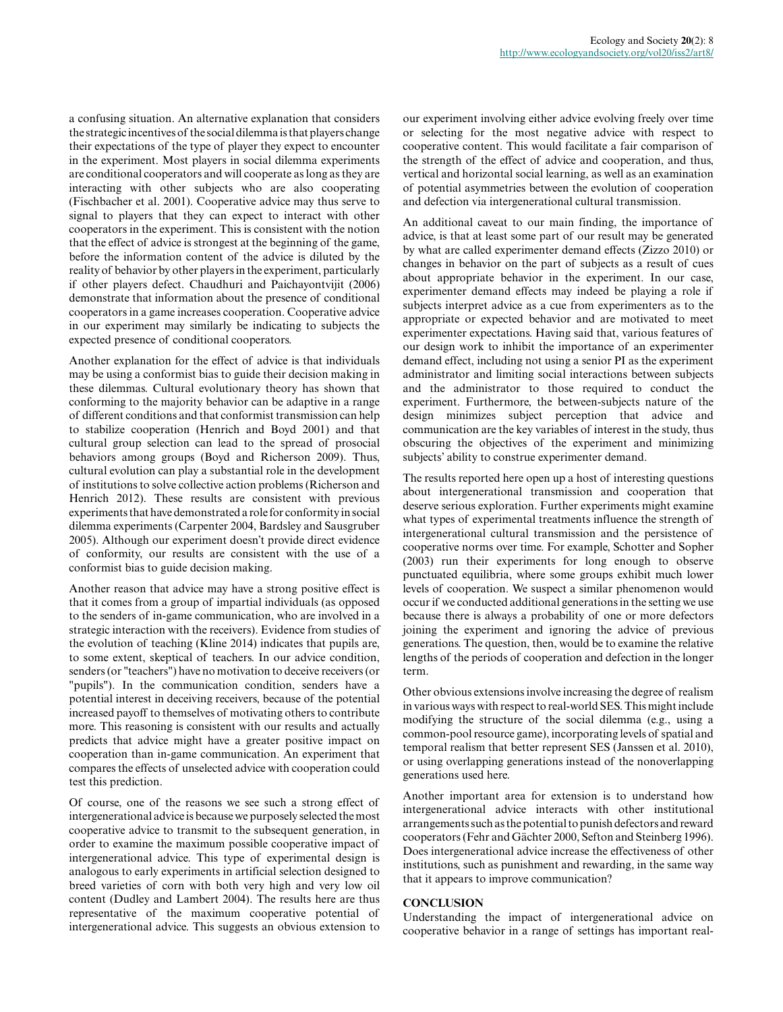a confusing situation. An alternative explanation that considers the strategic incentives of the social dilemma is that players change their expectations of the type of player they expect to encounter in the experiment. Most players in social dilemma experiments are conditional cooperators and will cooperate as long as they are interacting with other subjects who are also cooperating (Fischbacher et al. 2001). Cooperative advice may thus serve to signal to players that they can expect to interact with other cooperators in the experiment. This is consistent with the notion that the effect of advice is strongest at the beginning of the game, before the information content of the advice is diluted by the reality of behavior by other players in the experiment, particularly if other players defect. Chaudhuri and Paichayontvijit (2006) demonstrate that information about the presence of conditional cooperators in a game increases cooperation. Cooperative advice in our experiment may similarly be indicating to subjects the expected presence of conditional cooperators.

Another explanation for the effect of advice is that individuals may be using a conformist bias to guide their decision making in these dilemmas. Cultural evolutionary theory has shown that conforming to the majority behavior can be adaptive in a range of different conditions and that conformist transmission can help to stabilize cooperation (Henrich and Boyd 2001) and that cultural group selection can lead to the spread of prosocial behaviors among groups (Boyd and Richerson 2009). Thus, cultural evolution can play a substantial role in the development of institutions to solve collective action problems (Richerson and Henrich 2012). These results are consistent with previous experiments that have demonstrated a role for conformity in social dilemma experiments (Carpenter 2004, Bardsley and Sausgruber 2005). Although our experiment doesn't provide direct evidence of conformity, our results are consistent with the use of a conformist bias to guide decision making.

Another reason that advice may have a strong positive effect is that it comes from a group of impartial individuals (as opposed to the senders of in-game communication, who are involved in a strategic interaction with the receivers). Evidence from studies of the evolution of teaching (Kline 2014) indicates that pupils are, to some extent, skeptical of teachers. In our advice condition, senders (or "teachers") have no motivation to deceive receivers (or "pupils"). In the communication condition, senders have a potential interest in deceiving receivers, because of the potential increased payoff to themselves of motivating others to contribute more. This reasoning is consistent with our results and actually predicts that advice might have a greater positive impact on cooperation than in-game communication. An experiment that compares the effects of unselected advice with cooperation could test this prediction.

Of course, one of the reasons we see such a strong effect of intergenerational advice is because we purposely selected the most cooperative advice to transmit to the subsequent generation, in order to examine the maximum possible cooperative impact of intergenerational advice. This type of experimental design is analogous to early experiments in artificial selection designed to breed varieties of corn with both very high and very low oil content (Dudley and Lambert 2004). The results here are thus representative of the maximum cooperative potential of intergenerational advice. This suggests an obvious extension to

our experiment involving either advice evolving freely over time or selecting for the most negative advice with respect to cooperative content. This would facilitate a fair comparison of the strength of the effect of advice and cooperation, and thus, vertical and horizontal social learning, as well as an examination of potential asymmetries between the evolution of cooperation and defection via intergenerational cultural transmission.

An additional caveat to our main finding, the importance of advice, is that at least some part of our result may be generated by what are called experimenter demand effects (Zizzo 2010) or changes in behavior on the part of subjects as a result of cues about appropriate behavior in the experiment. In our case, experimenter demand effects may indeed be playing a role if subjects interpret advice as a cue from experimenters as to the appropriate or expected behavior and are motivated to meet experimenter expectations. Having said that, various features of our design work to inhibit the importance of an experimenter demand effect, including not using a senior PI as the experiment administrator and limiting social interactions between subjects and the administrator to those required to conduct the experiment. Furthermore, the between-subjects nature of the design minimizes subject perception that advice and communication are the key variables of interest in the study, thus obscuring the objectives of the experiment and minimizing subjects' ability to construe experimenter demand.

The results reported here open up a host of interesting questions about intergenerational transmission and cooperation that deserve serious exploration. Further experiments might examine what types of experimental treatments influence the strength of intergenerational cultural transmission and the persistence of cooperative norms over time. For example, Schotter and Sopher (2003) run their experiments for long enough to observe punctuated equilibria, where some groups exhibit much lower levels of cooperation. We suspect a similar phenomenon would occur if we conducted additional generations in the setting we use because there is always a probability of one or more defectors joining the experiment and ignoring the advice of previous generations. The question, then, would be to examine the relative lengths of the periods of cooperation and defection in the longer term.

Other obvious extensions involve increasing the degree of realism in various ways with respect to real-world SES. This might include modifying the structure of the social dilemma (e.g., using a common-pool resource game), incorporating levels of spatial and temporal realism that better represent SES (Janssen et al. 2010), or using overlapping generations instead of the nonoverlapping generations used here.

Another important area for extension is to understand how intergenerational advice interacts with other institutional arrangements such as the potential to punish defectors and reward cooperators (Fehr and Gächter 2000, Sefton and Steinberg 1996). Does intergenerational advice increase the effectiveness of other institutions, such as punishment and rewarding, in the same way that it appears to improve communication?

#### **CONCLUSION**

Understanding the impact of intergenerational advice on cooperative behavior in a range of settings has important real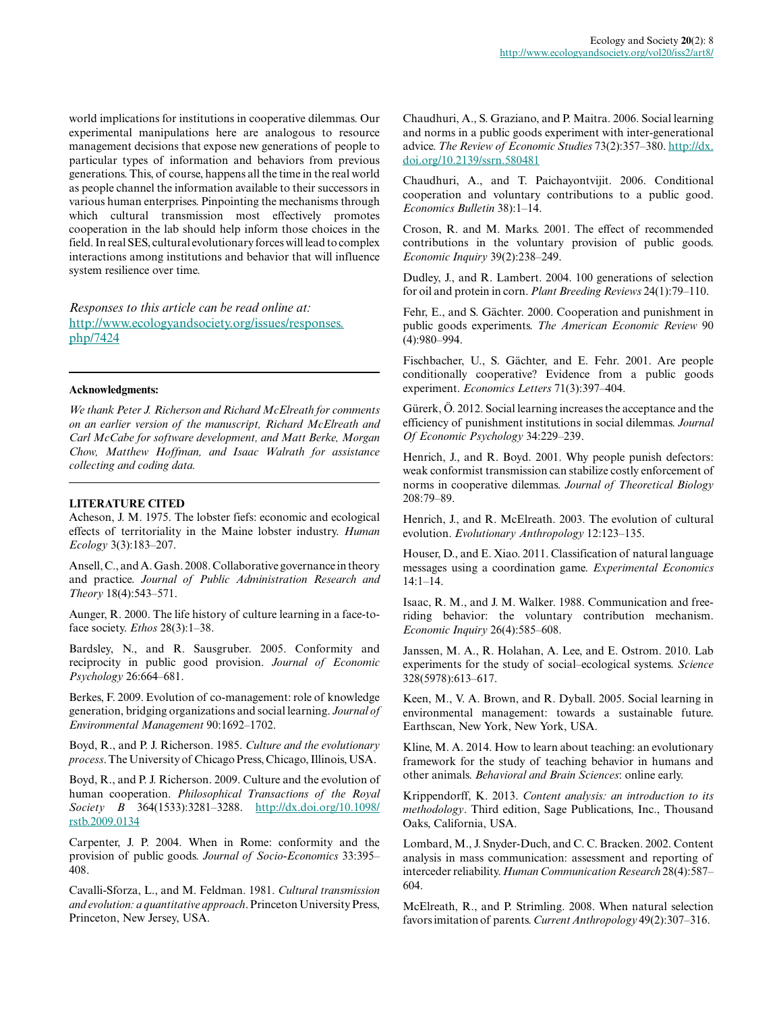world implications for institutions in cooperative dilemmas. Our experimental manipulations here are analogous to resource management decisions that expose new generations of people to particular types of information and behaviors from previous generations. This, of course, happens all the time in the real world as people channel the information available to their successors in various human enterprises. Pinpointing the mechanisms through which cultural transmission most effectively promotes cooperation in the lab should help inform those choices in the field. In real SES, cultural evolutionary forces will lead to complex interactions among institutions and behavior that will influence system resilience over time.

*Responses to this article can be read online at:* [http://www.ecologyandsociety.org/issues/responses.](http://www.ecologyandsociety.org/issues/responses.php/7424) [php/7424](http://www.ecologyandsociety.org/issues/responses.php/7424)

#### **Acknowledgments:**

*We thank Peter J. Richerson and Richard McElreath for comments on an earlier version of the manuscript, Richard McElreath and Carl McCabe for software development, and Matt Berke, Morgan Chow, Matthew Hoffman, and Isaac Walrath for assistance collecting and coding data.*

#### **LITERATURE CITED**

Acheson, J. M. 1975. The lobster fiefs: economic and ecological effects of territoriality in the Maine lobster industry. *Human Ecology* 3(3):183–207.

Ansell, C., and A. Gash. 2008. Collaborative governance in theory and practice. *Journal of Public Administration Research and Theory* 18(4):543–571.

Aunger, R. 2000. The life history of culture learning in a face-toface society. *Ethos* 28(3):1–38.

Bardsley, N., and R. Sausgruber. 2005. Conformity and reciprocity in public good provision. *Journal of Economic Psychology* 26:664–681.

Berkes, F. 2009. Evolution of co-management: role of knowledge generation, bridging organizations and social learning. *Journal of Environmental Management* 90:1692–1702.

Boyd, R., and P. J. Richerson. 1985. *Culture and the evolutionary process*. The University of Chicago Press, Chicago, Illinois, USA.

Boyd, R., and P. J. Richerson. 2009. Culture and the evolution of human cooperation. *Philosophical Transactions of the Royal Society B* 364(1533):3281–3288. [http://dx.doi.org/10.1098/](http://dx.doi.org/10.1098%2Frstb.2009.0134) [rstb.2009.0134](http://dx.doi.org/10.1098%2Frstb.2009.0134)

Carpenter, J. P. 2004. When in Rome: conformity and the provision of public goods. *Journal of Socio-Economics* 33:395– 408.

Cavalli-Sforza, L., and M. Feldman. 1981. *Cultural transmission and evolution: a quantitative approach*. Princeton University Press, Princeton, New Jersey, USA.

Chaudhuri, A., S. Graziano, and P. Maitra. 2006. Social learning and norms in a public goods experiment with inter-generational advice. *The Review of Economic Studies* 73(2):357–380. [http://dx.](http://dx.doi.org/10.2139%2Fssrn.580481) [doi.org/10.2139/ssrn.580481](http://dx.doi.org/10.2139%2Fssrn.580481) 

Chaudhuri, A., and T. Paichayontvijit. 2006. Conditional cooperation and voluntary contributions to a public good. *Economics Bulletin* 38):1–14.

Croson, R. and M. Marks. 2001. The effect of recommended contributions in the voluntary provision of public goods. *Economic Inquiry* 39(2):238–249.

Dudley, J., and R. Lambert. 2004. 100 generations of selection for oil and protein in corn. *Plant Breeding Reviews* 24(1):79–110.

Fehr, E., and S. Gächter. 2000. Cooperation and punishment in public goods experiments. *The American Economic Review* 90 (4):980–994.

Fischbacher, U., S. Gächter, and E. Fehr. 2001. Are people conditionally cooperative? Evidence from a public goods experiment. *Economics Letters* 71(3):397–404.

Gürerk, Ö. 2012. Social learning increases the acceptance and the efficiency of punishment institutions in social dilemmas. *Journal Of Economic Psychology* 34:229–239.

Henrich, J., and R. Boyd. 2001. Why people punish defectors: weak conformist transmission can stabilize costly enforcement of norms in cooperative dilemmas. *Journal of Theoretical Biology* 208:79–89.

Henrich, J., and R. McElreath. 2003. The evolution of cultural evolution. *Evolutionary Anthropology* 12:123–135.

Houser, D., and E. Xiao. 2011. Classification of natural language messages using a coordination game. *Experimental Economics* 14:1–14.

Isaac, R. M., and J. M. Walker. 1988. Communication and freeriding behavior: the voluntary contribution mechanism. *Economic Inquiry* 26(4):585–608.

Janssen, M. A., R. Holahan, A. Lee, and E. Ostrom. 2010. Lab experiments for the study of social–ecological systems. *Science* 328(5978):613–617.

Keen, M., V. A. Brown, and R. Dyball. 2005. Social learning in environmental management: towards a sustainable future. Earthscan, New York, New York, USA.

Kline, M. A. 2014. How to learn about teaching: an evolutionary framework for the study of teaching behavior in humans and other animals. *Behavioral and Brain Sciences*: online early.

Krippendorff, K. 2013. *Content analysis: an introduction to its methodology*. Third edition, Sage Publications, Inc., Thousand Oaks, California, USA.

Lombard, M., J. Snyder-Duch, and C. C. Bracken. 2002. Content analysis in mass communication: assessment and reporting of interceder reliability. *Human Communication Research* 28(4):587– 604.

McElreath, R., and P. Strimling. 2008. When natural selection favors imitation of parents. *Current Anthropology* 49(2):307–316.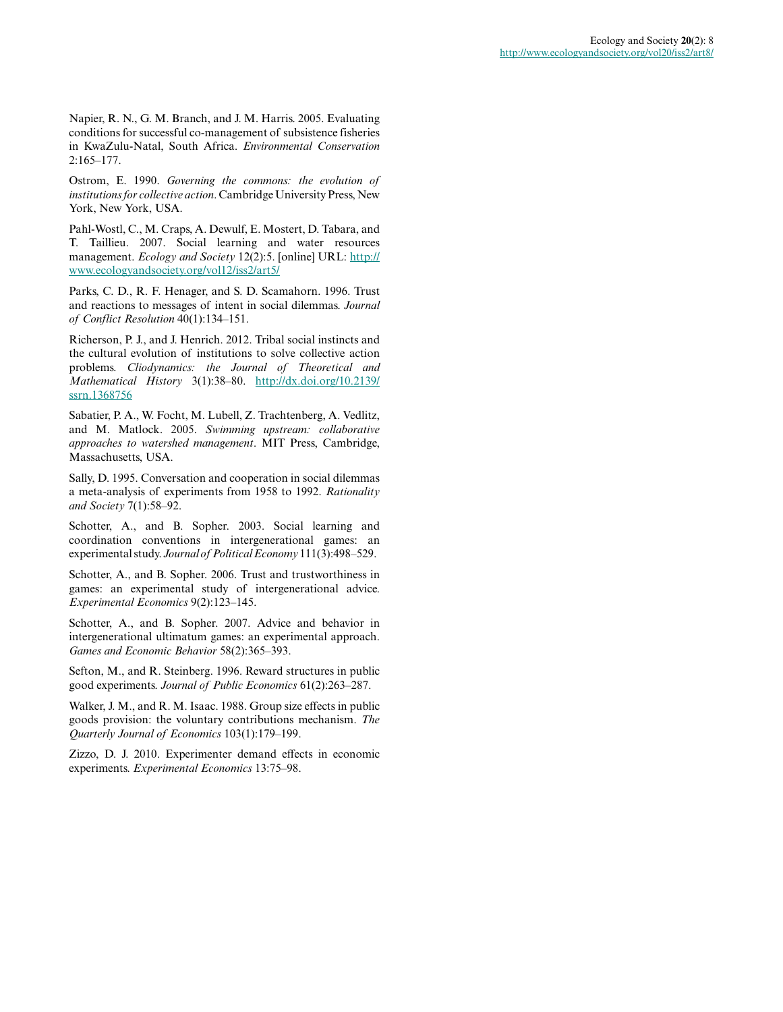Napier, R. N., G. M. Branch, and J. M. Harris. 2005. Evaluating conditions for successful co-management of subsistence fisheries in KwaZulu-Natal, South Africa. *Environmental Conservation* 2:165–177.

Ostrom, E. 1990. *Governing the commons: the evolution of institutions for collective action*. Cambridge University Press, New York, New York, USA.

Pahl-Wostl, C., M. Craps, A. Dewulf, E. Mostert, D. Tabara, and T. Taillieu. 2007. Social learning and water resources management. *Ecology and Society* 12(2):5. [online] URL: [http://](http://www.ecologyandsociety.org/vol12/iss2/art5/) [www.ecologyandsociety.org/vol12/iss2/art5/](http://www.ecologyandsociety.org/vol12/iss2/art5/) 

Parks, C. D., R. F. Henager, and S. D. Scamahorn. 1996. Trust and reactions to messages of intent in social dilemmas. *Journal of Conflict Resolution* 40(1):134–151.

Richerson, P. J., and J. Henrich. 2012. Tribal social instincts and the cultural evolution of institutions to solve collective action problems. *Cliodynamics: the Journal of Theoretical and Mathematical History* 3(1):38–80. [http://dx.doi.org/10.2139/](http://dx.doi.org/10.2139%2Fssrn.1368756) [ssrn.1368756](http://dx.doi.org/10.2139%2Fssrn.1368756)

Sabatier, P. A., W. Focht, M. Lubell, Z. Trachtenberg, A. Vedlitz, and M. Matlock. 2005. *Swimming upstream: collaborative approaches to watershed management*. MIT Press, Cambridge, Massachusetts, USA.

Sally, D. 1995. Conversation and cooperation in social dilemmas a meta-analysis of experiments from 1958 to 1992. *Rationality and Society* 7(1):58–92.

Schotter, A., and B. Sopher. 2003. Social learning and coordination conventions in intergenerational games: an experimental study. *Journal of Political Economy* 111(3):498–529.

Schotter, A., and B. Sopher. 2006. Trust and trustworthiness in games: an experimental study of intergenerational advice. *Experimental Economics* 9(2):123–145.

Schotter, A., and B. Sopher. 2007. Advice and behavior in intergenerational ultimatum games: an experimental approach. *Games and Economic Behavior* 58(2):365–393.

Sefton, M., and R. Steinberg. 1996. Reward structures in public good experiments. *Journal of Public Economics* 61(2):263–287.

Walker, J. M., and R. M. Isaac. 1988. Group size effects in public goods provision: the voluntary contributions mechanism. *The Quarterly Journal of Economics* 103(1):179–199.

Zizzo, D. J. 2010. Experimenter demand effects in economic experiments. *Experimental Economics* 13:75–98.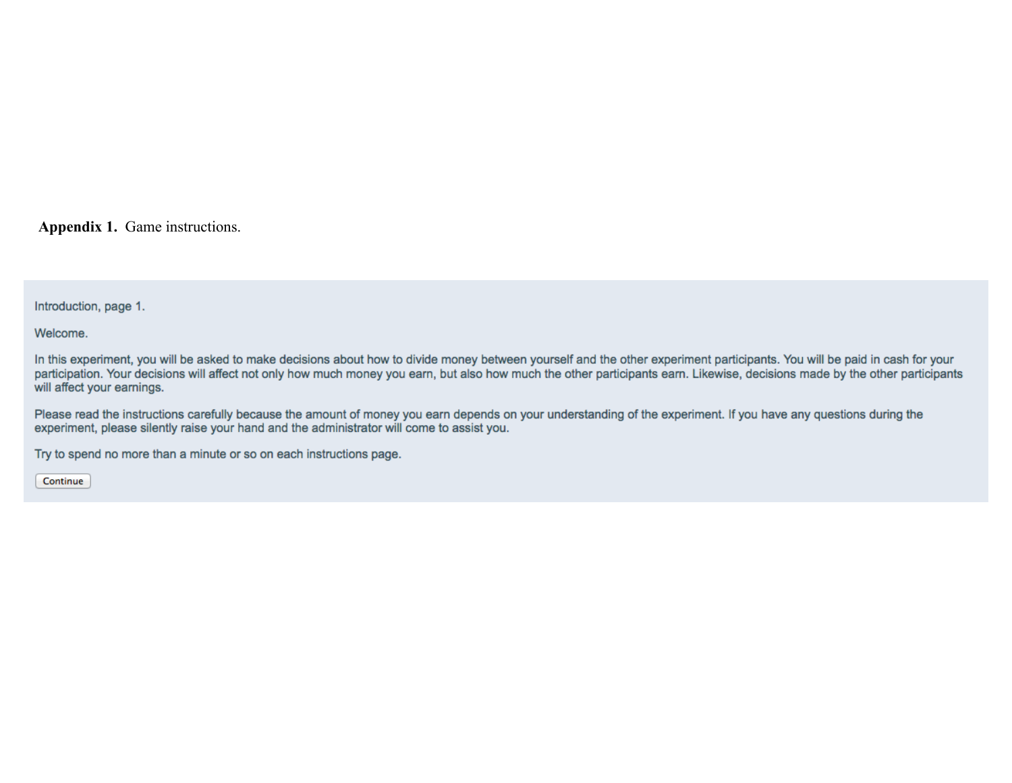Appendix 1. Game instructions.

Introduction, page 1.

Welcome.

In this experiment, you will be asked to make decisions about how to divide money between yourself and the other experiment participants. You will be paid in cash for your participation. Your decisions will affect not only how much money you earn, but also how much the other participants earn. Likewise, decisions made by the other participants will affect your earnings.

Please read the instructions carefully because the amount of money you earn depends on your understanding of the experiment. If you have any questions during the experiment, please silently raise your hand and the administrator will come to assist you.

Try to spend no more than a minute or so on each instructions page.

Continue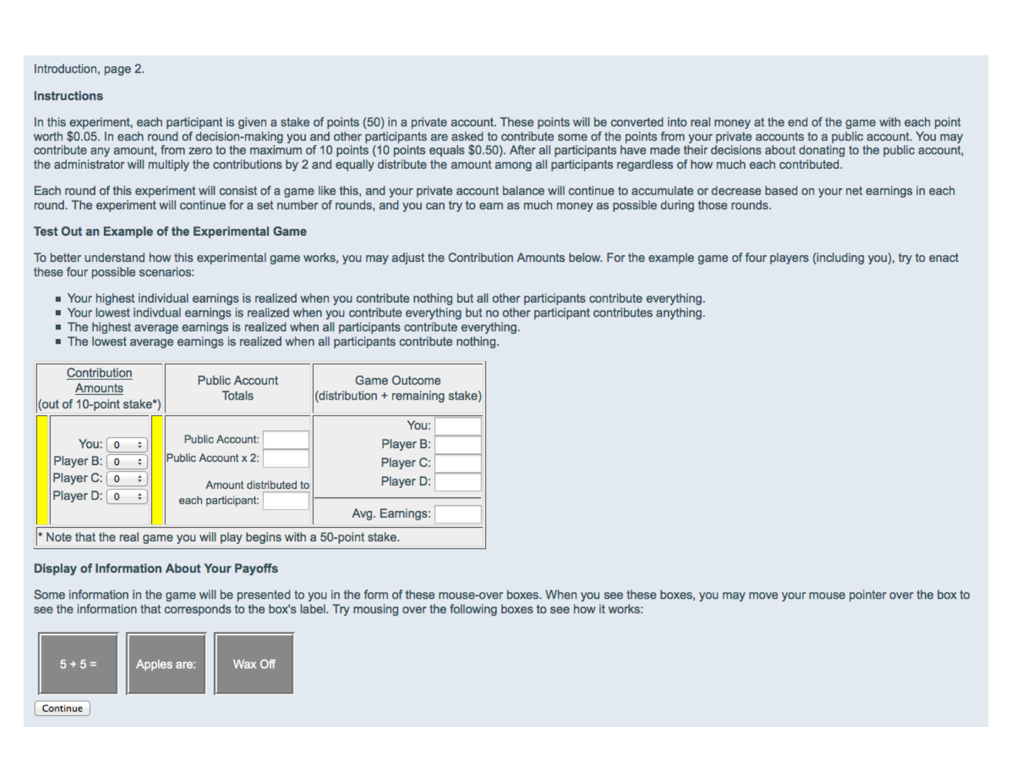#### Introduction, page 2.

#### Instructions

In this experiment, each participant is given a stake of points (50) in a private account. These points will be converted into real money at the end of the game with each point worth \$0.05. In each round of decision-making you and other participants are asked to contribute some of the points from your private accounts to a public account. You may contribute any amount, from zero to the maximum of 10 points (10 points equals \$0.50). After all participants have made their decisions about donating to the public account, the administrator will multiply the contributions by 2 and equally distribute the amount among all participants regardless of how much each contributed.

Each round of this experiment will consist of a game like this, and your private account balance will continue to accumulate or decrease based on your net earnings in each round. The experiment will continue for a set number of rounds, and you can try to earn as much money as possible during those rounds.

#### **Test Out an Example of the Experimental Game**

To better understand how this experimental game works, you may adjust the Contribution Amounts below. For the example game of four players (including you), try to enact these four possible scenarios:

- Your highest individual earnings is realized when you contribute nothing but all other participants contribute everything.
- Your lowest indivdual earnings is realized when you contribute everything but no other participant contributes anything.
- The highest average earnings is realized when all participants contribute everything.
- The lowest average earnings is realized when all participants contribute nothing.

| Contribution<br>Amounts<br>(out of 10-point stake*)                                                      | <b>Public Account</b><br><b>Totals</b>                                                      | <b>Game Outcome</b><br>(distribution + remaining stake)       |  |
|----------------------------------------------------------------------------------------------------------|---------------------------------------------------------------------------------------------|---------------------------------------------------------------|--|
| You: $\begin{bmatrix} 0 \end{bmatrix}$<br>$\div$<br>Player $B: 0$<br>÷<br>Player $C: 0$<br>Player $D: 0$ | <b>Public Account:</b><br>Public Account x 2:<br>Amount distributed to<br>each participant: | You:<br>Player B:<br>Player C:<br>Player D:<br>Avg. Earnings: |  |
| * Note that the real game you will play begins with a 50-point stake.                                    |                                                                                             |                                                               |  |

#### **Display of Information About Your Payoffs**

Some information in the game will be presented to you in the form of these mouse-over boxes. When you see these boxes, you may move your mouse pointer over the box to see the information that corresponds to the box's label. Try mousing over the following boxes to see how it works:

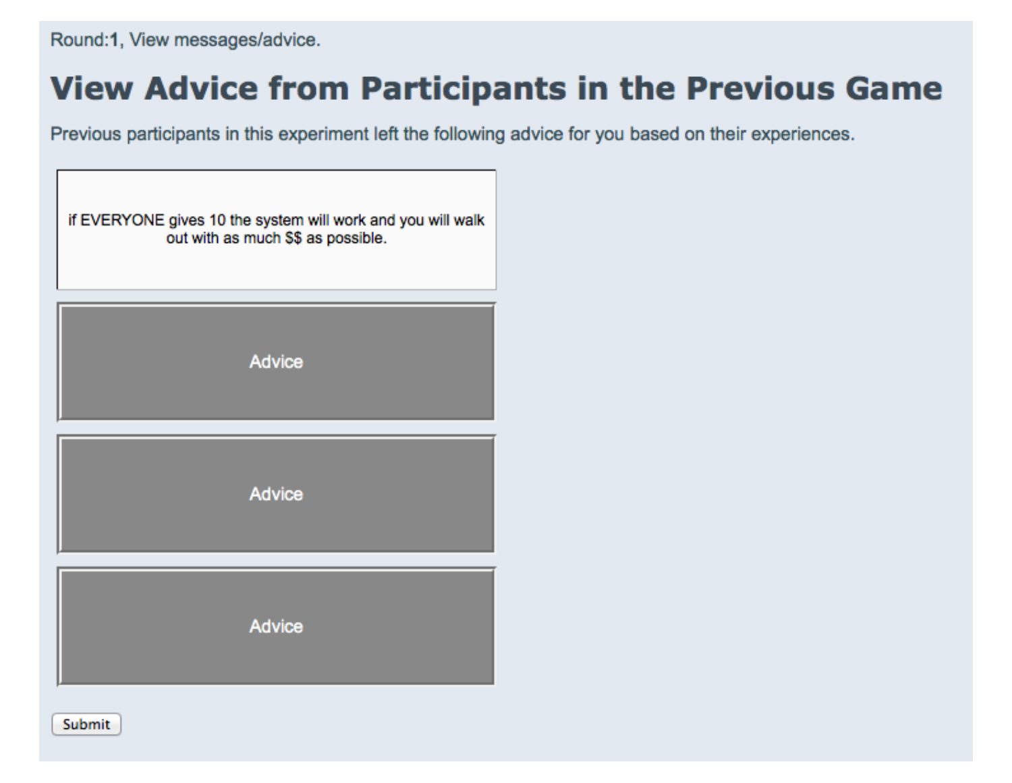Round:1, View messages/advice.

# **View Advice from Participants in the Previous Game**

Previous participants in this experiment left the following advice for you based on their experiences.

if EVERYONE gives 10 the system will work and you will walk out with as much \$\$ as possible.

**Advice** 

Advice

**Advice**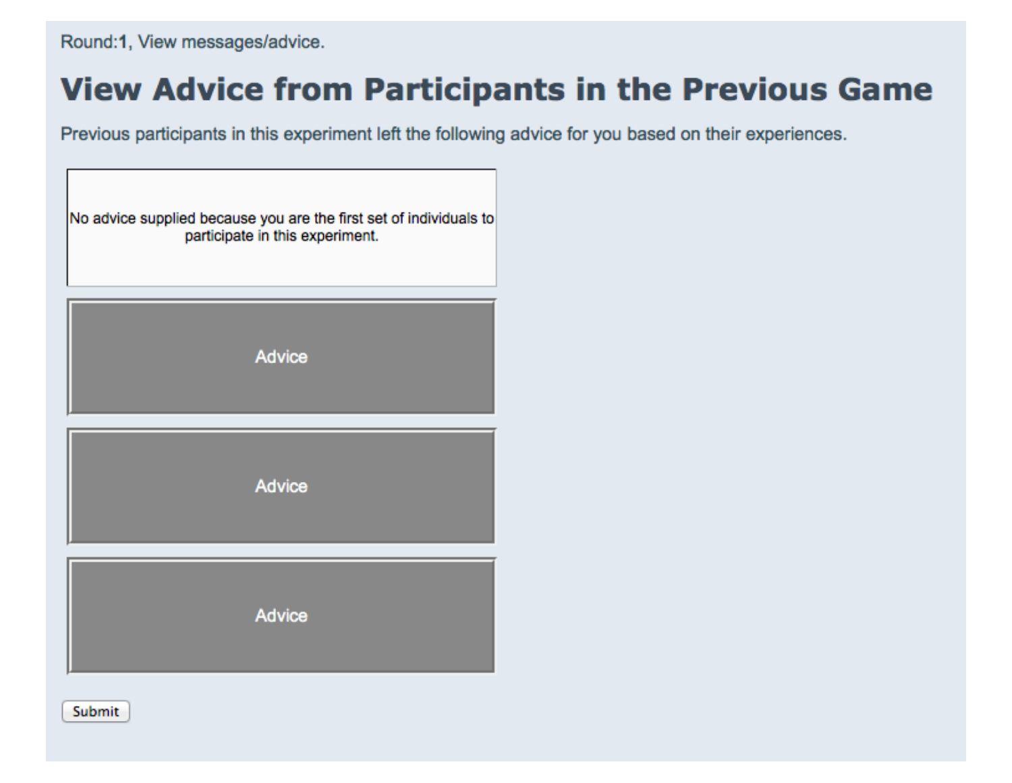Round:1, View messages/advice.

# **View Advice from Participants in the Previous Game**

Previous participants in this experiment left the following advice for you based on their experiences.

No advice supplied because you are the first set of individuals to participate in this experiment.

**Advice** 

**Advice** 

Advice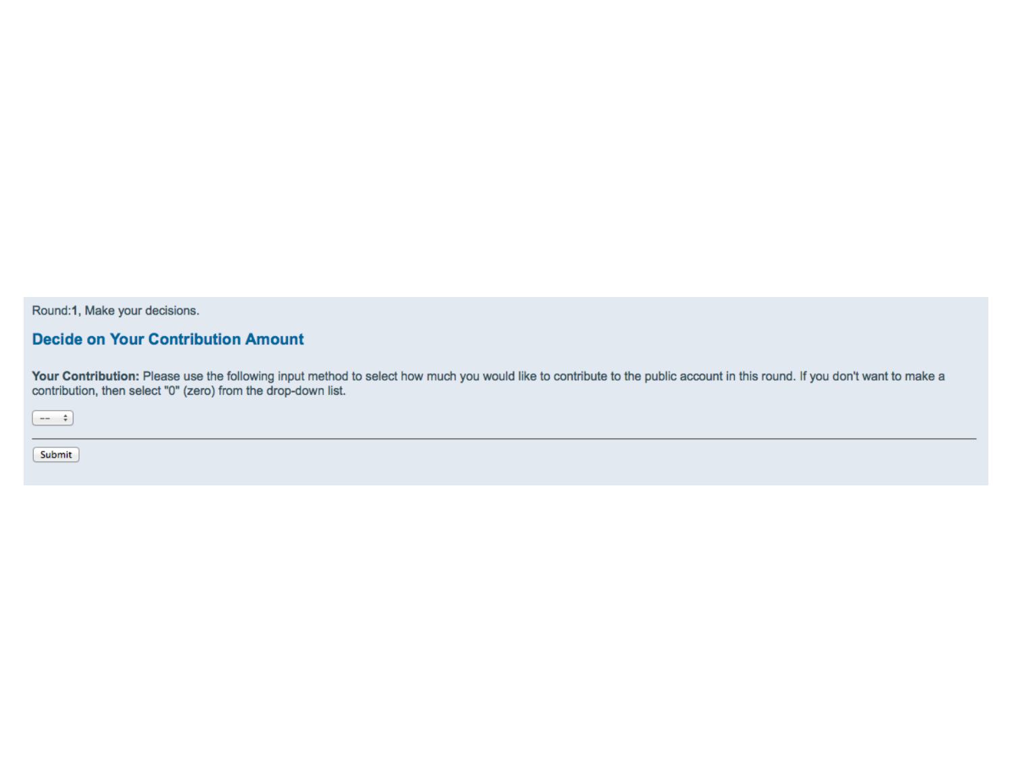Round:1, Make your decisions.

## **Decide on Your Contribution Amount**

Your Contribution: Please use the following input method to select how much you would like to contribute to the public account in this round. If you don't want to make a contribution, then select "0" (zero) from the drop-d

 $\boxed{-}$   $\div$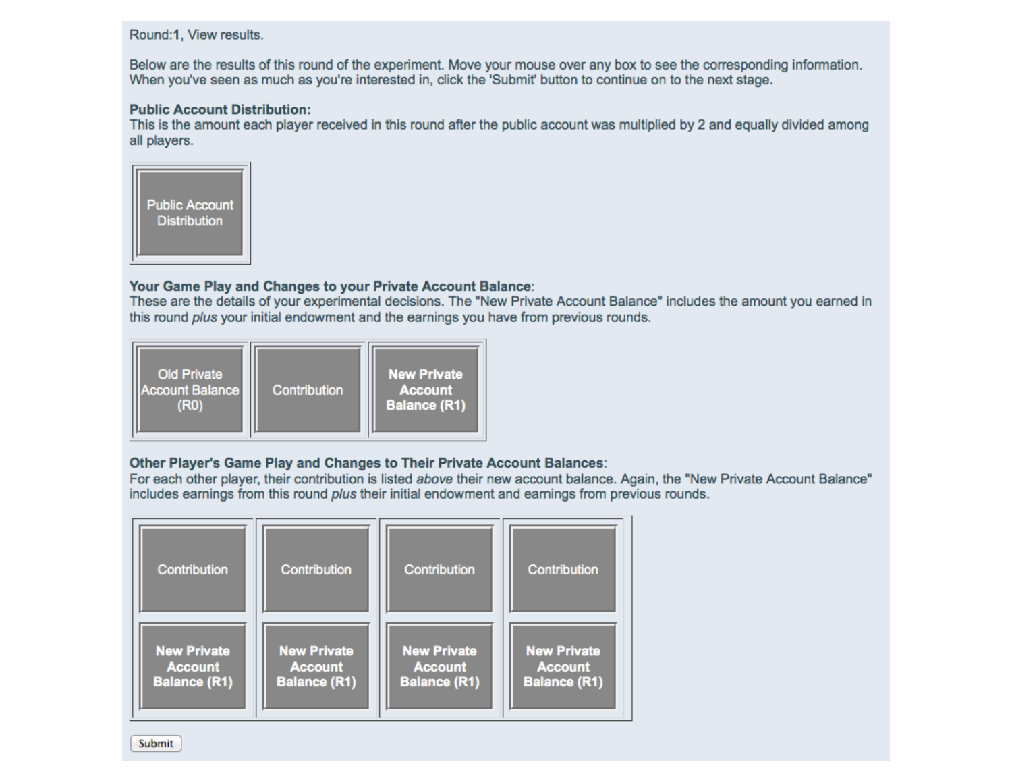## Round:1, View results.

Below are the results of this round of the experiment. Move your mouse over any box to see the corresponding information. When you've seen as much as you're interested in, click the 'Submit' button to continue on to the next stage.

### **Public Account Distribution:**

This is the amount each player received in this round after the public account was multiplied by 2 and equally divided among all players.



## Your Game Play and Changes to your Private Account Balance:

These are the details of your experimental decisions. The "New Private Account Balance" includes the amount you earned in this round plus your initial endowment and the earnings you have from previous rounds.

| <b>Old Private</b><br><b>Account Balance</b> | Contribution | <b>New Private</b><br><b>Account</b><br><b>Balance (R1)</b> |
|----------------------------------------------|--------------|-------------------------------------------------------------|
|----------------------------------------------|--------------|-------------------------------------------------------------|

## Other Player's Game Play and Changes to Their Private Account Balances:

For each other player, their contribution is listed above their new account balance. Again, the "New Private Account Balance" includes earnings from this round plus their initial endowment and earnings from previous rounds.

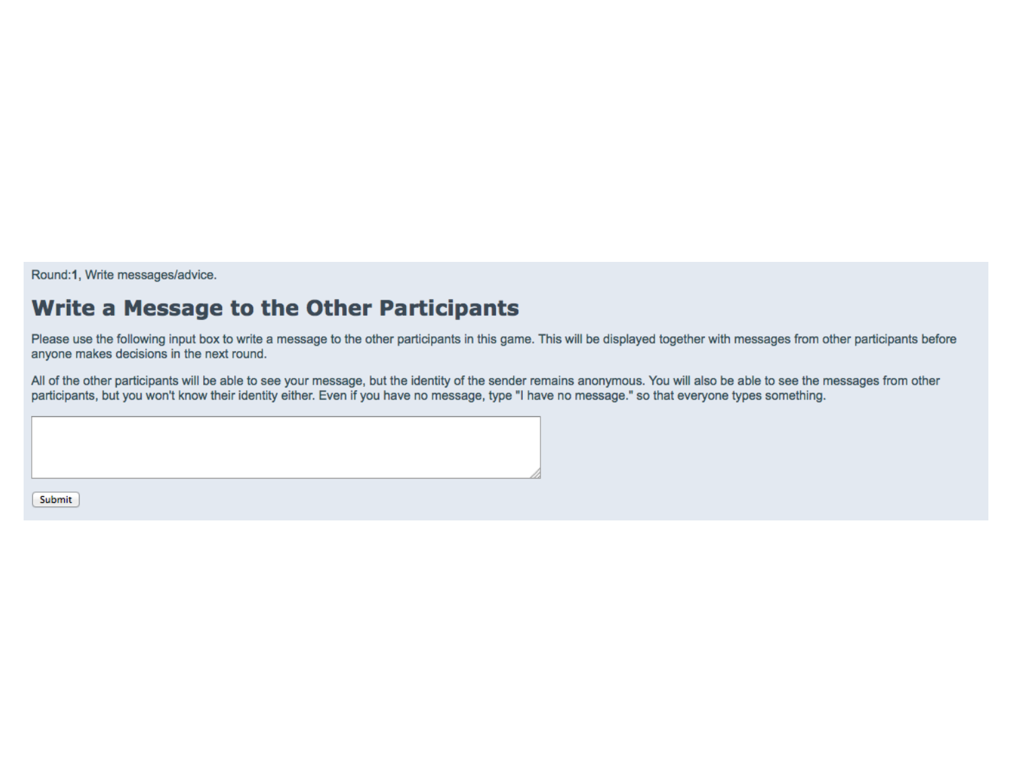Round:1, Write messages/advice.

# **Write a Message to the Other Participants**

Please use the following input box to write a message to the other participants in this game. This will be displayed together with messages from other participants before anyone makes decisions in the next round.

All of the other participants will be able to see your message, but the identity of the sender remains anonymous. You will also be able to see the messages from other participants, but you won't know their identity either. Even if you have no message, type "I have no message." so that everyone types something.